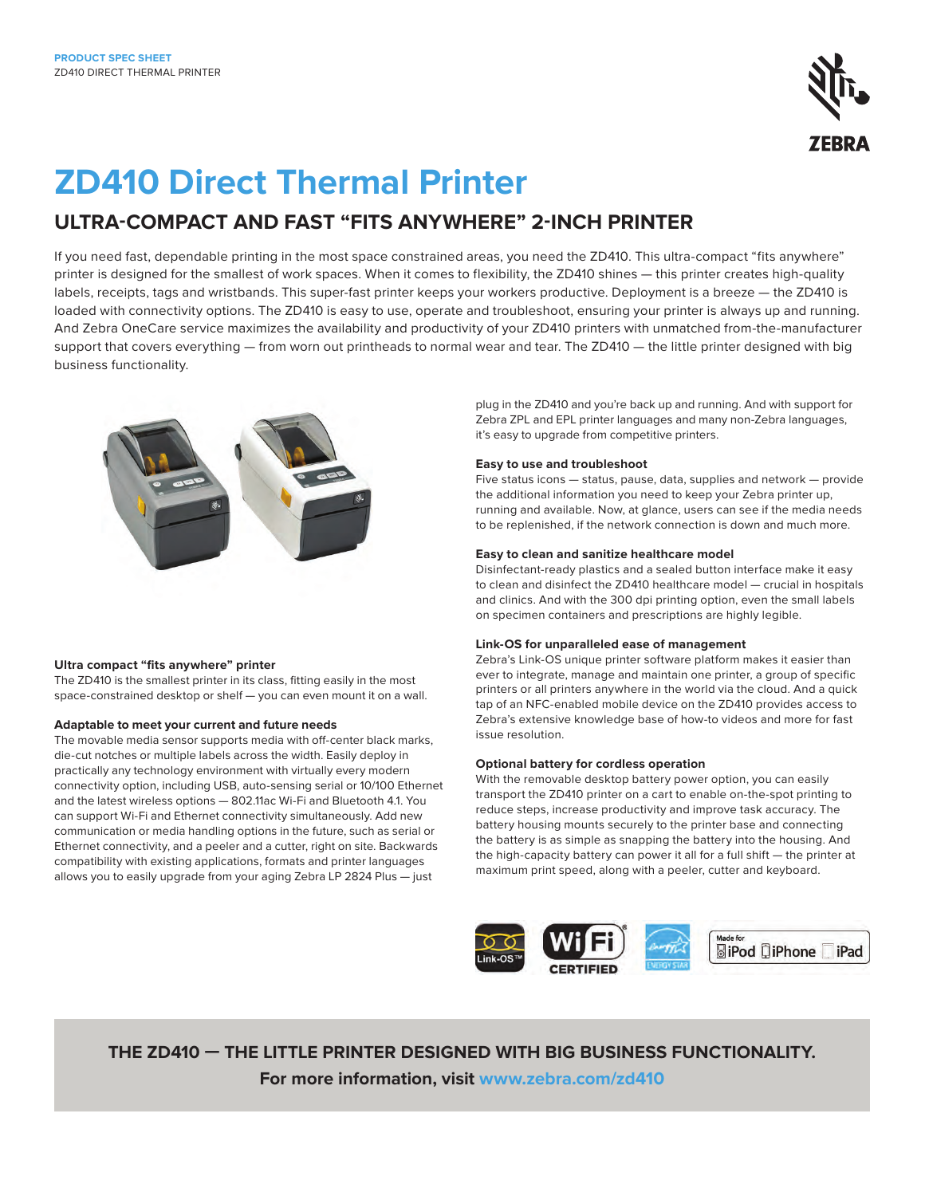

## **ZD410 Direct Thermal Printer**

### **ULTRA-COMPACT AND FAST "FITS ANYWHERE" 2-INCH PRINTER**

If you need fast, dependable printing in the most space constrained areas, you need the ZD410. This ultra-compact "fits anywhere" printer is designed for the smallest of work spaces. When it comes to flexibility, the ZD410 shines — this printer creates high-quality labels, receipts, tags and wristbands. This super-fast printer keeps your workers productive. Deployment is a breeze — the ZD410 is loaded with connectivity options. The ZD410 is easy to use, operate and troubleshoot, ensuring your printer is always up and running. And Zebra OneCare service maximizes the availability and productivity of your ZD410 printers with unmatched from-the-manufacturer support that covers everything — from worn out printheads to normal wear and tear. The ZD410 — the little printer designed with big business functionality.



#### **Ultra compact "fits anywhere" printer**

The ZD410 is the smallest printer in its class, fitting easily in the most space-constrained desktop or shelf — you can even mount it on a wall.

#### **Adaptable to meet your current and future needs**

The movable media sensor supports media with off-center black marks, die-cut notches or multiple labels across the width. Easily deploy in practically any technology environment with virtually every modern connectivity option, including USB, auto-sensing serial or 10/100 Ethernet and the latest wireless options — 802.11ac Wi-Fi and Bluetooth 4.1. You can support Wi-Fi and Ethernet connectivity simultaneously. Add new communication or media handling options in the future, such as serial or Ethernet connectivity, and a peeler and a cutter, right on site. Backwards compatibility with existing applications, formats and printer languages allows you to easily upgrade from your aging Zebra LP 2824 Plus — just

plug in the ZD410 and you're back up and running. And with support for Zebra ZPL and EPL printer languages and many non-Zebra languages, it's easy to upgrade from competitive printers.

#### **Easy to use and troubleshoot**

Five status icons — status, pause, data, supplies and network — provide the additional information you need to keep your Zebra printer up, running and available. Now, at glance, users can see if the media needs to be replenished, if the network connection is down and much more.

#### **Easy to clean and sanitize healthcare model**

Disinfectant-ready plastics and a sealed button interface make it easy to clean and disinfect the ZD410 healthcare model — crucial in hospitals and clinics. And with the 300 dpi printing option, even the small labels on specimen containers and prescriptions are highly legible.

#### **Link-OS for unparalleled ease of management**

Zebra's Link-OS unique printer software platform makes it easier than ever to integrate, manage and maintain one printer, a group of specific printers or all printers anywhere in the world via the cloud. And a quick tap of an NFC-enabled mobile device on the ZD410 provides access to Zebra's extensive knowledge base of how-to videos and more for fast issue resolution.

#### **Optional battery for cordless operation**

With the removable desktop battery power option, you can easily transport the ZD410 printer on a cart to enable on-the-spot printing to reduce steps, increase productivity and improve task accuracy. The battery housing mounts securely to the printer base and connecting the battery is as simple as snapping the battery into the housing. And the high-capacity battery can power it all for a full shift — the printer at maximum print speed, along with a peeler, cutter and keyboard.



**THE ZD410 — THE LITTLE PRINTER DESIGNED WITH BIG BUSINESS FUNCTIONALITY. For more information, visit [www.zebra.com/zd410](http://www.zebra.com/zd410)**